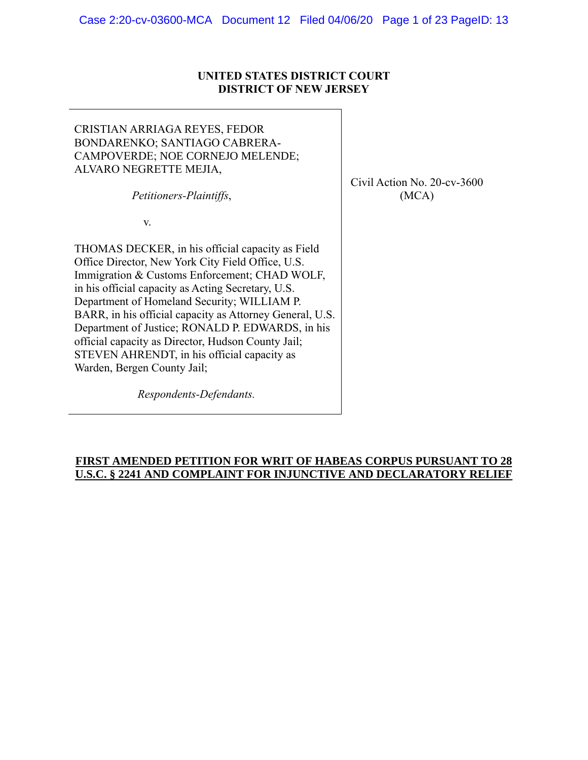# **UNITED STATES DISTRICT COURT DISTRICT OF NEW JERSEY**

٦

| CRISTIAN ARRIAGA REYES, FEDOR<br>BONDARENKO; SANTIAGO CABRERA-<br>CAMPOVERDE; NOE CORNEJO MELENDE;<br>ALVARO NEGRETTE MEJIA,<br>Petitioners-Plaintiffs,                                                                                                                                                                                                                                                                                                                                                         | Civil |
|-----------------------------------------------------------------------------------------------------------------------------------------------------------------------------------------------------------------------------------------------------------------------------------------------------------------------------------------------------------------------------------------------------------------------------------------------------------------------------------------------------------------|-------|
| V.                                                                                                                                                                                                                                                                                                                                                                                                                                                                                                              |       |
| THOMAS DECKER, in his official capacity as Field<br>Office Director, New York City Field Office, U.S.<br>Immigration & Customs Enforcement; CHAD WOLF,<br>in his official capacity as Acting Secretary, U.S.<br>Department of Homeland Security; WILLIAM P.<br>BARR, in his official capacity as Attorney General, U.S.<br>Department of Justice; RONALD P. EDWARDS, in his<br>official capacity as Director, Hudson County Jail;<br>STEVEN AHRENDT, in his official capacity as<br>Warden, Bergen County Jail; |       |
| Respondents-Defendants.                                                                                                                                                                                                                                                                                                                                                                                                                                                                                         |       |

**FIRST AMENDED PETITION FOR WRIT OF HABEAS CORPUS PURSUANT TO 28 U.S.C. § 2241 AND COMPLAINT FOR INJUNCTIVE AND DECLARATORY RELIEF**

## Action No. 20-cv-3600 (MCA)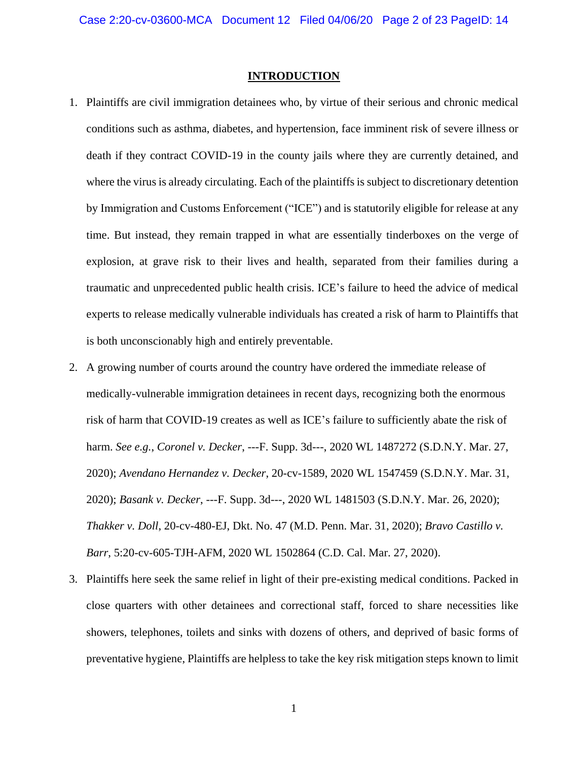### **INTRODUCTION**

- 1. Plaintiffs are civil immigration detainees who, by virtue of their serious and chronic medical conditions such as asthma, diabetes, and hypertension, face imminent risk of severe illness or death if they contract COVID-19 in the county jails where they are currently detained, and where the virus is already circulating. Each of the plaintiffs is subject to discretionary detention by Immigration and Customs Enforcement ("ICE") and is statutorily eligible for release at any time. But instead, they remain trapped in what are essentially tinderboxes on the verge of explosion, at grave risk to their lives and health, separated from their families during a traumatic and unprecedented public health crisis. ICE's failure to heed the advice of medical experts to release medically vulnerable individuals has created a risk of harm to Plaintiffs that is both unconscionably high and entirely preventable.
- 2. A growing number of courts around the country have ordered the immediate release of medically-vulnerable immigration detainees in recent days, recognizing both the enormous risk of harm that COVID-19 creates as well as ICE's failure to sufficiently abate the risk of harm. *See e.g.*, *Coronel v. Decker*, ---F. Supp. 3d---, 2020 WL 1487272 (S.D.N.Y. Mar. 27, 2020); *Avendano Hernandez v. Decker*, 20-cv-1589, 2020 WL 1547459 (S.D.N.Y. Mar. 31, 2020); *Basank v. Decker*, ---F. Supp. 3d---, 2020 WL 1481503 (S.D.N.Y. Mar. 26, 2020); *Thakker v. Doll*, 20-cv-480-EJ, Dkt. No. 47 (M.D. Penn. Mar. 31, 2020); *Bravo Castillo v. Barr*, 5:20-cv-605-TJH-AFM, 2020 WL 1502864 (C.D. Cal. Mar. 27, 2020).
- 3. Plaintiffs here seek the same relief in light of their pre-existing medical conditions. Packed in close quarters with other detainees and correctional staff, forced to share necessities like showers, telephones, toilets and sinks with dozens of others, and deprived of basic forms of preventative hygiene, Plaintiffs are helpless to take the key risk mitigation steps known to limit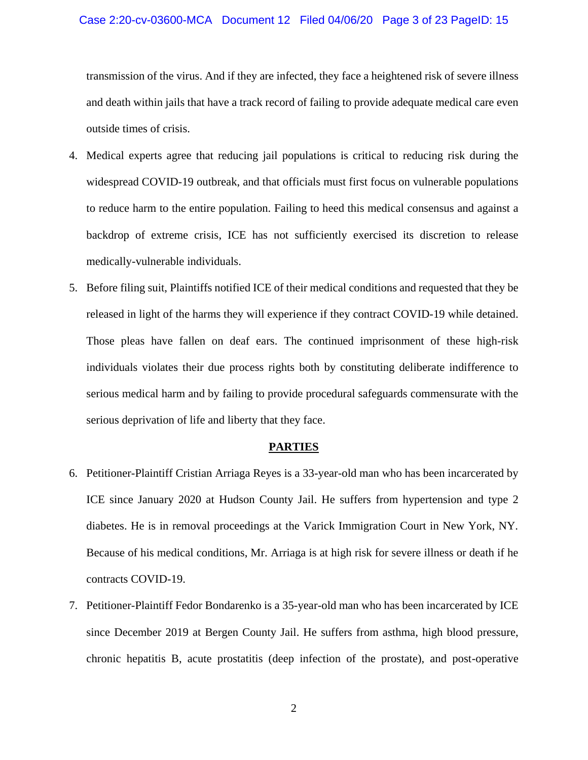#### Case 2:20-cv-03600-MCA Document 12 Filed 04/06/20 Page 3 of 23 PageID: 15

transmission of the virus. And if they are infected, they face a heightened risk of severe illness and death within jails that have a track record of failing to provide adequate medical care even outside times of crisis.

- 4. Medical experts agree that reducing jail populations is critical to reducing risk during the widespread COVID-19 outbreak, and that officials must first focus on vulnerable populations to reduce harm to the entire population. Failing to heed this medical consensus and against a backdrop of extreme crisis, ICE has not sufficiently exercised its discretion to release medically-vulnerable individuals.
- 5. Before filing suit, Plaintiffs notified ICE of their medical conditions and requested that they be released in light of the harms they will experience if they contract COVID-19 while detained. Those pleas have fallen on deaf ears. The continued imprisonment of these high-risk individuals violates their due process rights both by constituting deliberate indifference to serious medical harm and by failing to provide procedural safeguards commensurate with the serious deprivation of life and liberty that they face.

#### **PARTIES**

- 6. Petitioner-Plaintiff Cristian Arriaga Reyes is a 33-year-old man who has been incarcerated by ICE since January 2020 at Hudson County Jail. He suffers from hypertension and type 2 diabetes. He is in removal proceedings at the Varick Immigration Court in New York, NY. Because of his medical conditions, Mr. Arriaga is at high risk for severe illness or death if he contracts COVID-19.
- 7. Petitioner-Plaintiff Fedor Bondarenko is a 35-year-old man who has been incarcerated by ICE since December 2019 at Bergen County Jail. He suffers from asthma, high blood pressure, chronic hepatitis B, acute prostatitis (deep infection of the prostate), and post-operative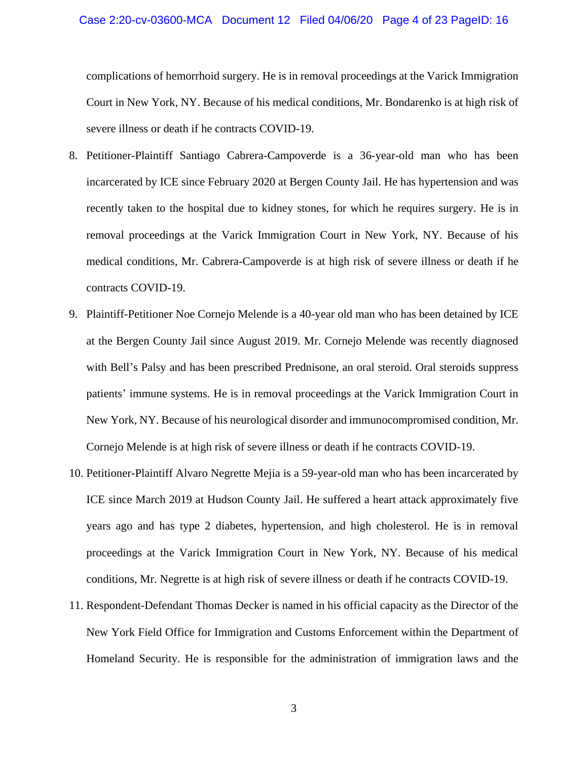complications of hemorrhoid surgery. He is in removal proceedings at the Varick Immigration Court in New York, NY. Because of his medical conditions, Mr. Bondarenko is at high risk of severe illness or death if he contracts COVID-19.

- 8. Petitioner-Plaintiff Santiago Cabrera-Campoverde is a 36-year-old man who has been incarcerated by ICE since February 2020 at Bergen County Jail. He has hypertension and was recently taken to the hospital due to kidney stones, for which he requires surgery. He is in removal proceedings at the Varick Immigration Court in New York, NY. Because of his medical conditions, Mr. Cabrera-Campoverde is at high risk of severe illness or death if he contracts COVID-19.
- 9. Plaintiff-Petitioner Noe Cornejo Melende is a 40-year old man who has been detained by ICE at the Bergen County Jail since August 2019. Mr. Cornejo Melende was recently diagnosed with Bell's Palsy and has been prescribed Prednisone, an oral steroid. Oral steroids suppress patients' immune systems. He is in removal proceedings at the Varick Immigration Court in New York, NY. Because of his neurological disorder and immunocompromised condition, Mr. Cornejo Melende is at high risk of severe illness or death if he contracts COVID-19.
- 10. Petitioner-Plaintiff Alvaro Negrette Mejia is a 59-year-old man who has been incarcerated by ICE since March 2019 at Hudson County Jail. He suffered a heart attack approximately five years ago and has type 2 diabetes, hypertension, and high cholesterol. He is in removal proceedings at the Varick Immigration Court in New York, NY. Because of his medical conditions, Mr. Negrette is at high risk of severe illness or death if he contracts COVID-19.
- 11. Respondent-Defendant Thomas Decker is named in his official capacity as the Director of the New York Field Office for Immigration and Customs Enforcement within the Department of Homeland Security. He is responsible for the administration of immigration laws and the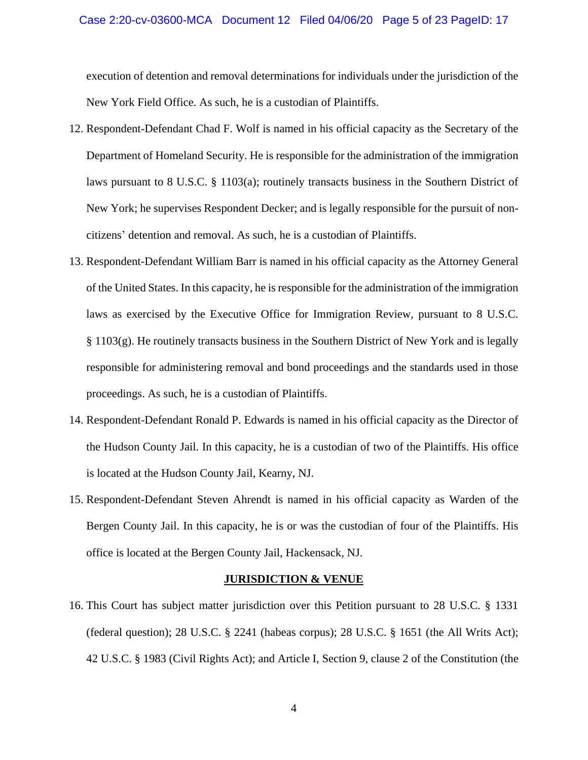#### Case 2:20-cv-03600-MCA Document 12 Filed 04/06/20 Page 5 of 23 PageID: 17

execution of detention and removal determinations for individuals under the jurisdiction of the New York Field Office. As such, he is a custodian of Plaintiffs.

- 12. Respondent-Defendant Chad F. Wolf is named in his official capacity as the Secretary of the Department of Homeland Security. He is responsible for the administration of the immigration laws pursuant to 8 U.S.C. § 1103(a); routinely transacts business in the Southern District of New York; he supervises Respondent Decker; and is legally responsible for the pursuit of noncitizens' detention and removal. As such, he is a custodian of Plaintiffs.
- 13. Respondent-Defendant William Barr is named in his official capacity as the Attorney General of the United States. In this capacity, he is responsible for the administration of the immigration laws as exercised by the Executive Office for Immigration Review, pursuant to 8 U.S.C.  $§$  1103(g). He routinely transacts business in the Southern District of New York and is legally responsible for administering removal and bond proceedings and the standards used in those proceedings. As such, he is a custodian of Plaintiffs.
- 14. Respondent-Defendant Ronald P. Edwards is named in his official capacity as the Director of the Hudson County Jail. In this capacity, he is a custodian of two of the Plaintiffs. His office is located at the Hudson County Jail, Kearny, NJ.
- 15. Respondent-Defendant Steven Ahrendt is named in his official capacity as Warden of the Bergen County Jail. In this capacity, he is or was the custodian of four of the Plaintiffs. His office is located at the Bergen County Jail, Hackensack, NJ.

### **JURISDICTION & VENUE**

16. This Court has subject matter jurisdiction over this Petition pursuant to 28 U.S.C. § 1331 (federal question); 28 U.S.C.  $\S$  2241 (habeas corpus); 28 U.S.C.  $\S$  1651 (the All Writs Act); 42 U.S.C. § 1983 (Civil Rights Act); and Article I, Section 9, clause 2 of the Constitution (the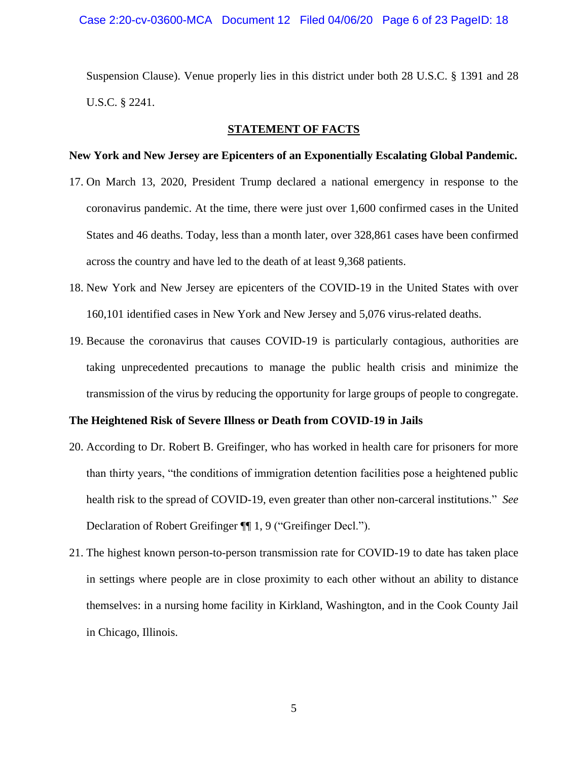Case 2:20-cv-03600-MCA Document 12 Filed 04/06/20 Page 6 of 23 PageID: 18

Suspension Clause). Venue properly lies in this district under both 28 U.S.C. § 1391 and 28 U.S.C. § 2241.

#### **STATEMENT OF FACTS**

#### **New York and New Jersey are Epicenters of an Exponentially Escalating Global Pandemic.**

- 17. On March 13, 2020, President Trump declared a national emergency in response to the coronavirus pandemic. At the time, there were just over 1,600 confirmed cases in the United States and 46 deaths. Today, less than a month later, over 328,861 cases have been confirmed across the country and have led to the death of at least 9,368 patients.
- 18. New York and New Jersey are epicenters of the COVID-19 in the United States with over 160,101 identified cases in New York and New Jersey and 5,076 virus-related deaths.
- 19. Because the coronavirus that causes COVID-19 is particularly contagious, authorities are taking unprecedented precautions to manage the public health crisis and minimize the transmission of the virus by reducing the opportunity for large groups of people to congregate.

### **The Heightened Risk of Severe Illness or Death from COVID-19 in Jails**

- 20. According to Dr. Robert B. Greifinger, who has worked in health care for prisoners for more than thirty years, "the conditions of immigration detention facilities pose a heightened public health risk to the spread of COVID-19, even greater than other non-carceral institutions." *See*  Declaration of Robert Greifinger ¶¶ 1, 9 ("Greifinger Decl.").
- 21. The highest known person-to-person transmission rate for COVID-19 to date has taken place in settings where people are in close proximity to each other without an ability to distance themselves: in a nursing home facility in Kirkland, Washington, and in the Cook County Jail in Chicago, Illinois.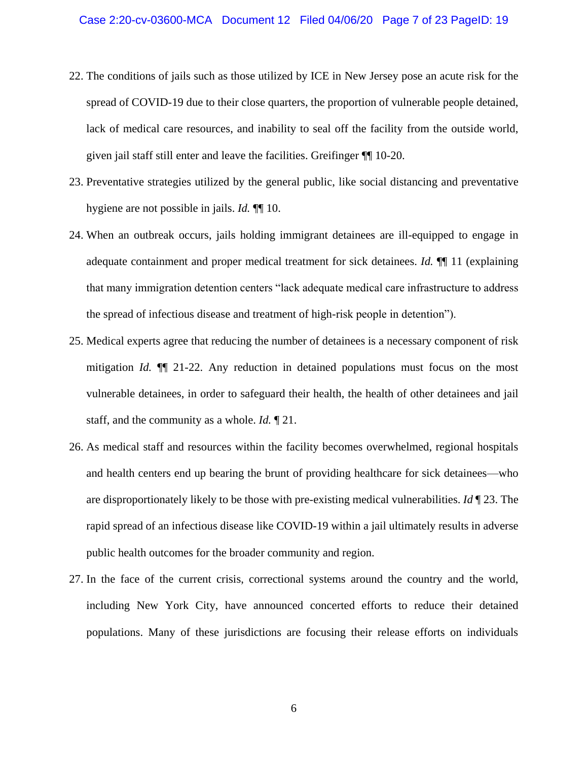- 22. The conditions of jails such as those utilized by ICE in New Jersey pose an acute risk for the spread of COVID-19 due to their close quarters, the proportion of vulnerable people detained, lack of medical care resources, and inability to seal off the facility from the outside world, given jail staff still enter and leave the facilities. Greifinger ¶¶ 10-20.
- 23. Preventative strategies utilized by the general public, like social distancing and preventative hygiene are not possible in jails. *Id.* ¶¶ 10.
- 24. When an outbreak occurs, jails holding immigrant detainees are ill-equipped to engage in adequate containment and proper medical treatment for sick detainees. *Id.* ¶¶ 11 (explaining that many immigration detention centers "lack adequate medical care infrastructure to address the spread of infectious disease and treatment of high-risk people in detention").
- 25. Medical experts agree that reducing the number of detainees is a necessary component of risk mitigation *Id.* ¶¶ 21-22. Any reduction in detained populations must focus on the most vulnerable detainees, in order to safeguard their health, the health of other detainees and jail staff, and the community as a whole. *Id.* ¶ 21.
- 26. As medical staff and resources within the facility becomes overwhelmed, regional hospitals and health centers end up bearing the brunt of providing healthcare for sick detainees—who are disproportionately likely to be those with pre-existing medical vulnerabilities. *Id* ¶ 23. The rapid spread of an infectious disease like COVID-19 within a jail ultimately results in adverse public health outcomes for the broader community and region.
- 27. In the face of the current crisis, correctional systems around the country and the world, including New York City, have announced concerted efforts to reduce their detained populations. Many of these jurisdictions are focusing their release efforts on individuals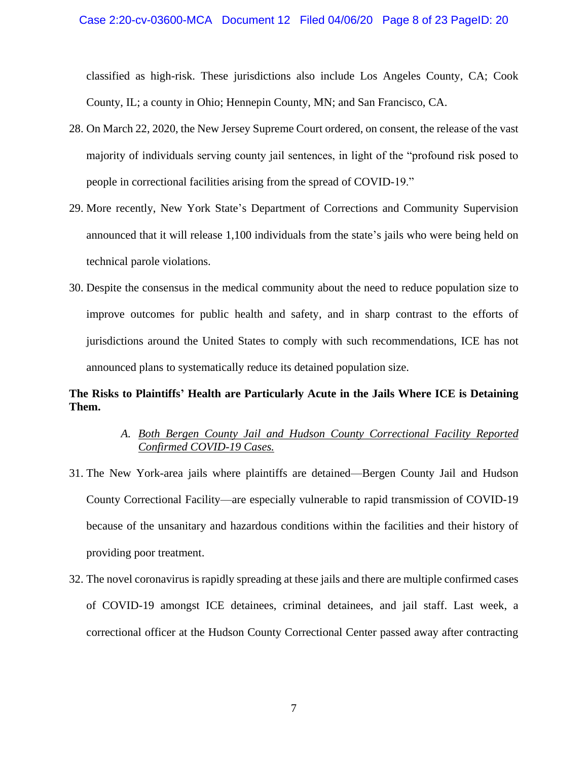classified as high-risk. These jurisdictions also include Los Angeles County, CA; Cook County, IL; a county in Ohio; Hennepin County, MN; and San Francisco, CA.

- 28. On March 22, 2020, the New Jersey Supreme Court ordered, on consent, the release of the vast majority of individuals serving county jail sentences, in light of the "profound risk posed to people in correctional facilities arising from the spread of COVID-19."
- 29. More recently, New York State's Department of Corrections and Community Supervision announced that it will release 1,100 individuals from the state's jails who were being held on technical parole violations.
- 30. Despite the consensus in the medical community about the need to reduce population size to improve outcomes for public health and safety, and in sharp contrast to the efforts of jurisdictions around the United States to comply with such recommendations, ICE has not announced plans to systematically reduce its detained population size.

# **The Risks to Plaintiffs' Health are Particularly Acute in the Jails Where ICE is Detaining Them.**

# *A. Both Bergen County Jail and Hudson County Correctional Facility Reported Confirmed COVID-19 Cases.*

- 31. The New York-area jails where plaintiffs are detained—Bergen County Jail and Hudson County Correctional Facility—are especially vulnerable to rapid transmission of COVID-19 because of the unsanitary and hazardous conditions within the facilities and their history of providing poor treatment.
- 32. The novel coronavirus is rapidly spreading at these jails and there are multiple confirmed cases of COVID-19 amongst ICE detainees, criminal detainees, and jail staff. Last week, a correctional officer at the Hudson County Correctional Center passed away after contracting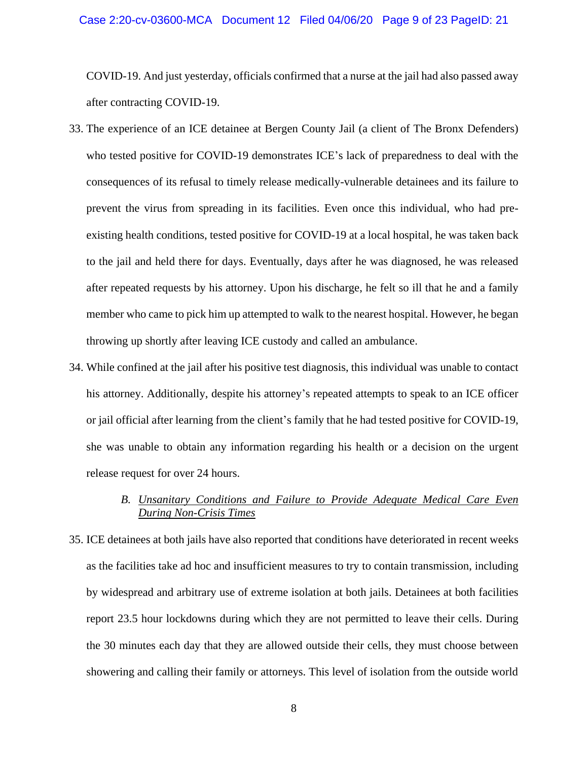#### Case 2:20-cv-03600-MCA Document 12 Filed 04/06/20 Page 9 of 23 PageID: 21

COVID-19. And just yesterday, officials confirmed that a nurse at the jail had also passed away after contracting COVID-19.

- 33. The experience of an ICE detainee at Bergen County Jail (a client of The Bronx Defenders) who tested positive for COVID-19 demonstrates ICE's lack of preparedness to deal with the consequences of its refusal to timely release medically-vulnerable detainees and its failure to prevent the virus from spreading in its facilities. Even once this individual, who had preexisting health conditions, tested positive for COVID-19 at a local hospital, he was taken back to the jail and held there for days. Eventually, days after he was diagnosed, he was released after repeated requests by his attorney. Upon his discharge, he felt so ill that he and a family member who came to pick him up attempted to walk to the nearest hospital. However, he began throwing up shortly after leaving ICE custody and called an ambulance.
- 34. While confined at the jail after his positive test diagnosis, this individual was unable to contact his attorney. Additionally, despite his attorney's repeated attempts to speak to an ICE officer or jail official after learning from the client's family that he had tested positive for COVID-19, she was unable to obtain any information regarding his health or a decision on the urgent release request for over 24 hours.

## *B. Unsanitary Conditions and Failure to Provide Adequate Medical Care Even During Non-Crisis Times*

35. ICE detainees at both jails have also reported that conditions have deteriorated in recent weeks as the facilities take ad hoc and insufficient measures to try to contain transmission, including by widespread and arbitrary use of extreme isolation at both jails. Detainees at both facilities report 23.5 hour lockdowns during which they are not permitted to leave their cells. During the 30 minutes each day that they are allowed outside their cells, they must choose between showering and calling their family or attorneys. This level of isolation from the outside world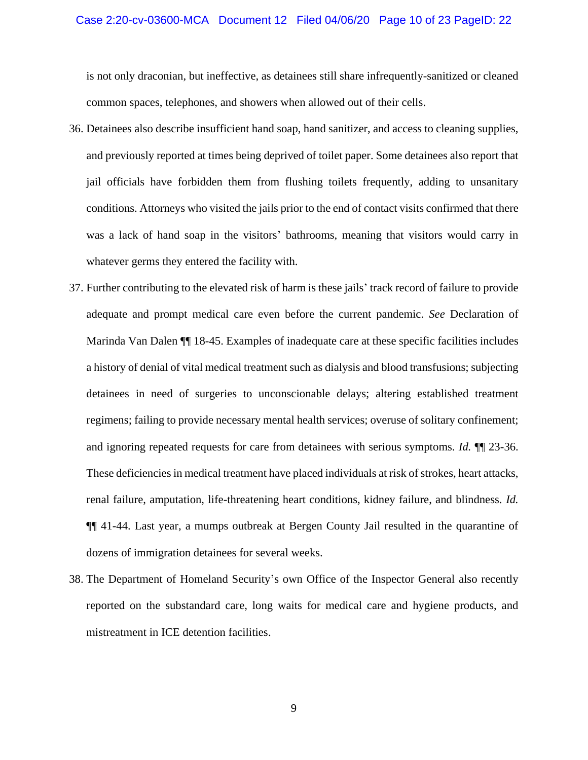#### Case 2:20-cv-03600-MCA Document 12 Filed 04/06/20 Page 10 of 23 PageID: 22

is not only draconian, but ineffective, as detainees still share infrequently-sanitized or cleaned common spaces, telephones, and showers when allowed out of their cells.

- 36. Detainees also describe insufficient hand soap, hand sanitizer, and access to cleaning supplies, and previously reported at times being deprived of toilet paper. Some detainees also report that jail officials have forbidden them from flushing toilets frequently, adding to unsanitary conditions. Attorneys who visited the jails prior to the end of contact visits confirmed that there was a lack of hand soap in the visitors' bathrooms, meaning that visitors would carry in whatever germs they entered the facility with.
- 37. Further contributing to the elevated risk of harm is these jails' track record of failure to provide adequate and prompt medical care even before the current pandemic. *See* Declaration of Marinda Van Dalen ¶¶ 18-45. Examples of inadequate care at these specific facilities includes a history of denial of vital medical treatment such as dialysis and blood transfusions; subjecting detainees in need of surgeries to unconscionable delays; altering established treatment regimens; failing to provide necessary mental health services; overuse of solitary confinement; and ignoring repeated requests for care from detainees with serious symptoms. *Id.* ¶¶ 23-36. These deficiencies in medical treatment have placed individuals at risk of strokes, heart attacks, renal failure, amputation, life-threatening heart conditions, kidney failure, and blindness. *Id.* ¶¶ 41-44. Last year, a mumps outbreak at Bergen County Jail resulted in the quarantine of dozens of immigration detainees for several weeks.
- 38. The Department of Homeland Security's own Office of the Inspector General also recently reported on the substandard care, long waits for medical care and hygiene products, and mistreatment in ICE detention facilities.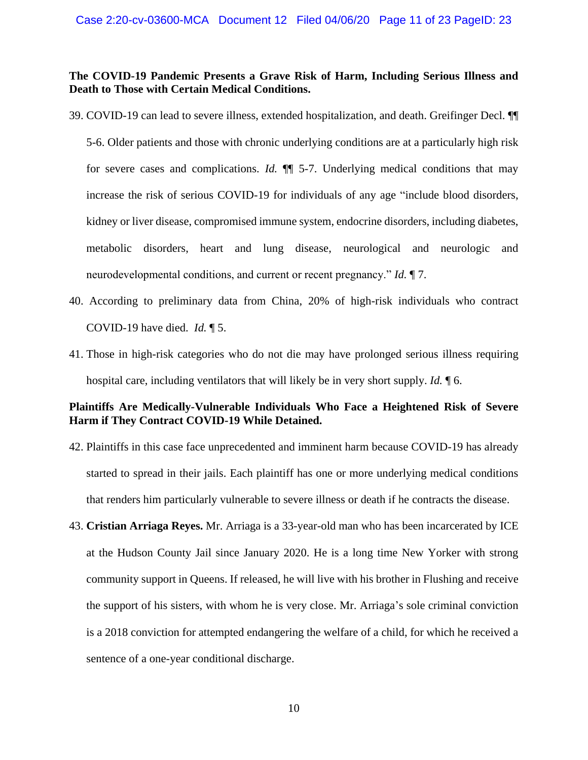### **The COVID-19 Pandemic Presents a Grave Risk of Harm, Including Serious Illness and Death to Those with Certain Medical Conditions.**

39. COVID-19 can lead to severe illness, extended hospitalization, and death. Greifinger Decl. ¶¶

5-6. Older patients and those with chronic underlying conditions are at a particularly high risk for severe cases and complications. *Id.* ¶¶ 5-7. Underlying medical conditions that may increase the risk of serious COVID-19 for individuals of any age "include blood disorders, kidney or liver disease, compromised immune system, endocrine disorders, including diabetes, metabolic disorders, heart and lung disease, neurological and neurologic and neurodevelopmental conditions, and current or recent pregnancy." *Id.* ¶ 7.

- 40. According to preliminary data from China, 20% of high-risk individuals who contract COVID-19 have died. *Id.* ¶ 5.
- 41. Those in high-risk categories who do not die may have prolonged serious illness requiring hospital care, including ventilators that will likely be in very short supply. *Id.* ¶ 6.

## **Plaintiffs Are Medically-Vulnerable Individuals Who Face a Heightened Risk of Severe Harm if They Contract COVID-19 While Detained.**

- 42. Plaintiffs in this case face unprecedented and imminent harm because COVID-19 has already started to spread in their jails. Each plaintiff has one or more underlying medical conditions that renders him particularly vulnerable to severe illness or death if he contracts the disease.
- 43. **Cristian Arriaga Reyes.** Mr. Arriaga is a 33-year-old man who has been incarcerated by ICE at the Hudson County Jail since January 2020. He is a long time New Yorker with strong community support in Queens. If released, he will live with his brother in Flushing and receive the support of his sisters, with whom he is very close. Mr. Arriaga's sole criminal conviction is a 2018 conviction for attempted endangering the welfare of a child, for which he received a sentence of a one-year conditional discharge.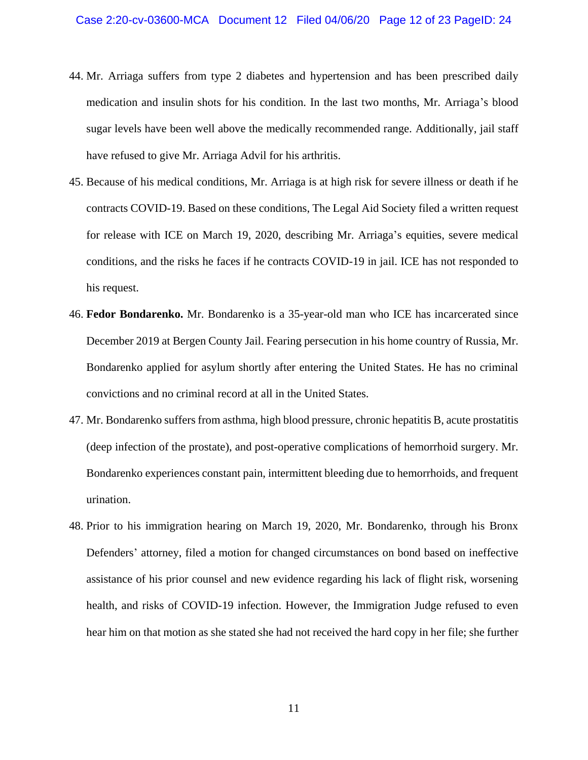- 44. Mr. Arriaga suffers from type 2 diabetes and hypertension and has been prescribed daily medication and insulin shots for his condition. In the last two months, Mr. Arriaga's blood sugar levels have been well above the medically recommended range. Additionally, jail staff have refused to give Mr. Arriaga Advil for his arthritis.
- 45. Because of his medical conditions, Mr. Arriaga is at high risk for severe illness or death if he contracts COVID-19. Based on these conditions, The Legal Aid Society filed a written request for release with ICE on March 19, 2020, describing Mr. Arriaga's equities, severe medical conditions, and the risks he faces if he contracts COVID-19 in jail. ICE has not responded to his request.
- 46. **Fedor Bondarenko.** Mr. Bondarenko is a 35-year-old man who ICE has incarcerated since December 2019 at Bergen County Jail. Fearing persecution in his home country of Russia, Mr. Bondarenko applied for asylum shortly after entering the United States. He has no criminal convictions and no criminal record at all in the United States.
- 47. Mr. Bondarenko suffers from asthma, high blood pressure, chronic hepatitis B, acute prostatitis (deep infection of the prostate), and post-operative complications of hemorrhoid surgery. Mr. Bondarenko experiences constant pain, intermittent bleeding due to hemorrhoids, and frequent urination.
- 48. Prior to his immigration hearing on March 19, 2020, Mr. Bondarenko, through his Bronx Defenders' attorney, filed a motion for changed circumstances on bond based on ineffective assistance of his prior counsel and new evidence regarding his lack of flight risk, worsening health, and risks of COVID-19 infection. However, the Immigration Judge refused to even hear him on that motion as she stated she had not received the hard copy in her file; she further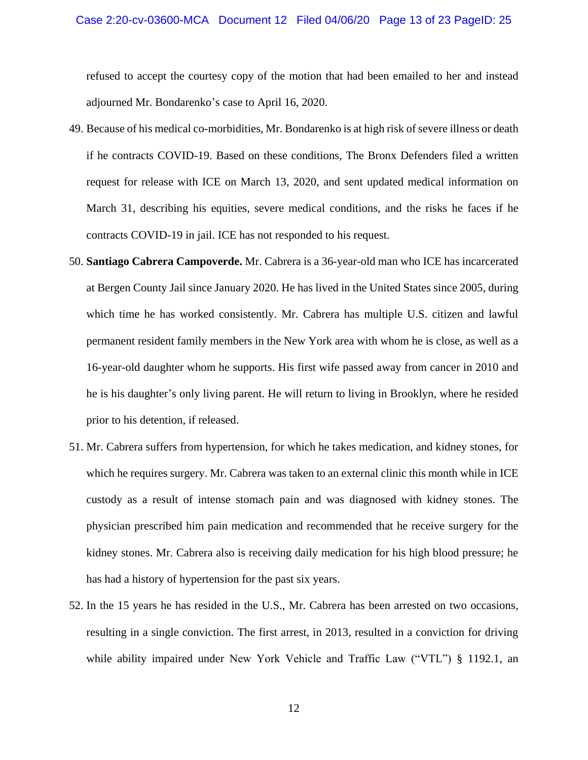#### Case 2:20-cv-03600-MCA Document 12 Filed 04/06/20 Page 13 of 23 PageID: 25

refused to accept the courtesy copy of the motion that had been emailed to her and instead adjourned Mr. Bondarenko's case to April 16, 2020.

- 49. Because of his medical co-morbidities, Mr. Bondarenko is at high risk of severe illness or death if he contracts COVID-19. Based on these conditions, The Bronx Defenders filed a written request for release with ICE on March 13, 2020, and sent updated medical information on March 31, describing his equities, severe medical conditions, and the risks he faces if he contracts COVID-19 in jail. ICE has not responded to his request.
- 50. **Santiago Cabrera Campoverde.** Mr. Cabrera is a 36-year-old man who ICE has incarcerated at Bergen County Jail since January 2020. He has lived in the United States since 2005, during which time he has worked consistently. Mr. Cabrera has multiple U.S. citizen and lawful permanent resident family members in the New York area with whom he is close, as well as a 16-year-old daughter whom he supports. His first wife passed away from cancer in 2010 and he is his daughter's only living parent. He will return to living in Brooklyn, where he resided prior to his detention, if released.
- 51. Mr. Cabrera suffers from hypertension, for which he takes medication, and kidney stones, for which he requires surgery. Mr. Cabrera was taken to an external clinic this month while in ICE custody as a result of intense stomach pain and was diagnosed with kidney stones. The physician prescribed him pain medication and recommended that he receive surgery for the kidney stones. Mr. Cabrera also is receiving daily medication for his high blood pressure; he has had a history of hypertension for the past six years.
- 52. In the 15 years he has resided in the U.S., Mr. Cabrera has been arrested on two occasions, resulting in a single conviction. The first arrest, in 2013, resulted in a conviction for driving while ability impaired under New York Vehicle and Traffic Law ("VTL") § 1192.1, an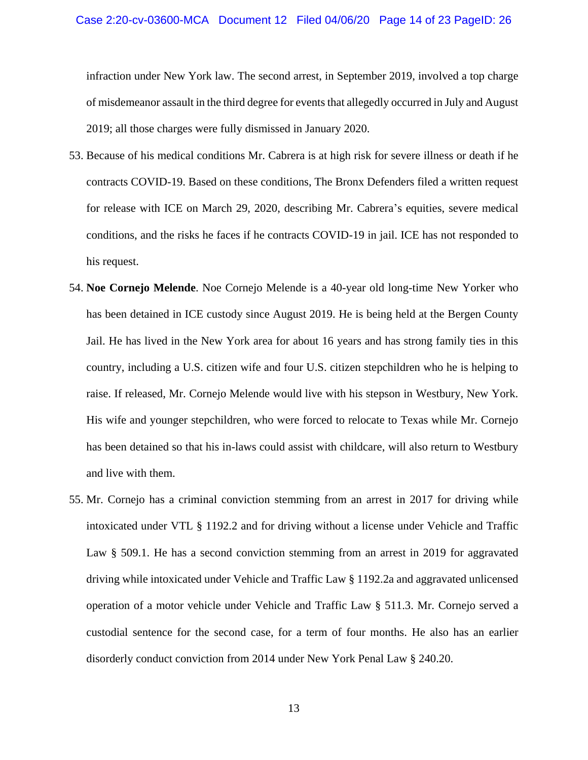infraction under New York law. The second arrest, in September 2019, involved a top charge of misdemeanor assault in the third degree for events that allegedly occurred in July and August 2019; all those charges were fully dismissed in January 2020.

- 53. Because of his medical conditions Mr. Cabrera is at high risk for severe illness or death if he contracts COVID-19. Based on these conditions, The Bronx Defenders filed a written request for release with ICE on March 29, 2020, describing Mr. Cabrera's equities, severe medical conditions, and the risks he faces if he contracts COVID-19 in jail. ICE has not responded to his request.
- 54. **Noe Cornejo Melende**. Noe Cornejo Melende is a 40-year old long-time New Yorker who has been detained in ICE custody since August 2019. He is being held at the Bergen County Jail. He has lived in the New York area for about 16 years and has strong family ties in this country, including a U.S. citizen wife and four U.S. citizen stepchildren who he is helping to raise. If released, Mr. Cornejo Melende would live with his stepson in Westbury, New York. His wife and younger stepchildren, who were forced to relocate to Texas while Mr. Cornejo has been detained so that his in-laws could assist with childcare, will also return to Westbury and live with them.
- 55. Mr. Cornejo has a criminal conviction stemming from an arrest in 2017 for driving while intoxicated under VTL § 1192.2 and for driving without a license under Vehicle and Traffic Law § 509.1. He has a second conviction stemming from an arrest in 2019 for aggravated driving while intoxicated under Vehicle and Traffic Law § 1192.2a and aggravated unlicensed operation of a motor vehicle under Vehicle and Traffic Law § 511.3. Mr. Cornejo served a custodial sentence for the second case, for a term of four months. He also has an earlier disorderly conduct conviction from 2014 under New York Penal Law § 240.20.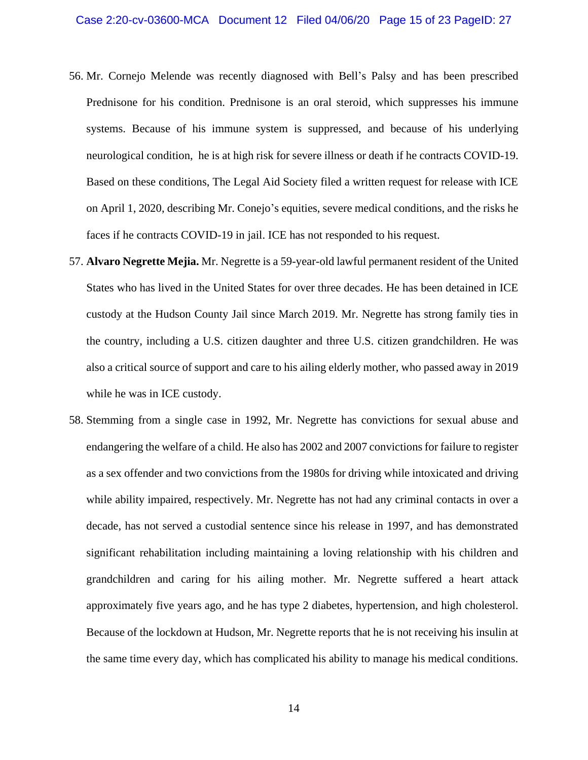- 56. Mr. Cornejo Melende was recently diagnosed with Bell's Palsy and has been prescribed Prednisone for his condition. Prednisone is an oral steroid, which suppresses his immune systems. Because of his immune system is suppressed, and because of his underlying neurological condition, he is at high risk for severe illness or death if he contracts COVID-19. Based on these conditions, The Legal Aid Society filed a written request for release with ICE on April 1, 2020, describing Mr. Conejo's equities, severe medical conditions, and the risks he faces if he contracts COVID-19 in jail. ICE has not responded to his request.
- 57. **Alvaro Negrette Mejia.** Mr. Negrette is a 59-year-old lawful permanent resident of the United States who has lived in the United States for over three decades. He has been detained in ICE custody at the Hudson County Jail since March 2019. Mr. Negrette has strong family ties in the country, including a U.S. citizen daughter and three U.S. citizen grandchildren. He was also a critical source of support and care to his ailing elderly mother, who passed away in 2019 while he was in ICE custody.
- 58. Stemming from a single case in 1992, Mr. Negrette has convictions for sexual abuse and endangering the welfare of a child. He also has 2002 and 2007 convictions for failure to register as a sex offender and two convictions from the 1980s for driving while intoxicated and driving while ability impaired, respectively. Mr. Negrette has not had any criminal contacts in over a decade, has not served a custodial sentence since his release in 1997, and has demonstrated significant rehabilitation including maintaining a loving relationship with his children and grandchildren and caring for his ailing mother. Mr. Negrette suffered a heart attack approximately five years ago, and he has type 2 diabetes, hypertension, and high cholesterol. Because of the lockdown at Hudson, Mr. Negrette reports that he is not receiving his insulin at the same time every day, which has complicated his ability to manage his medical conditions.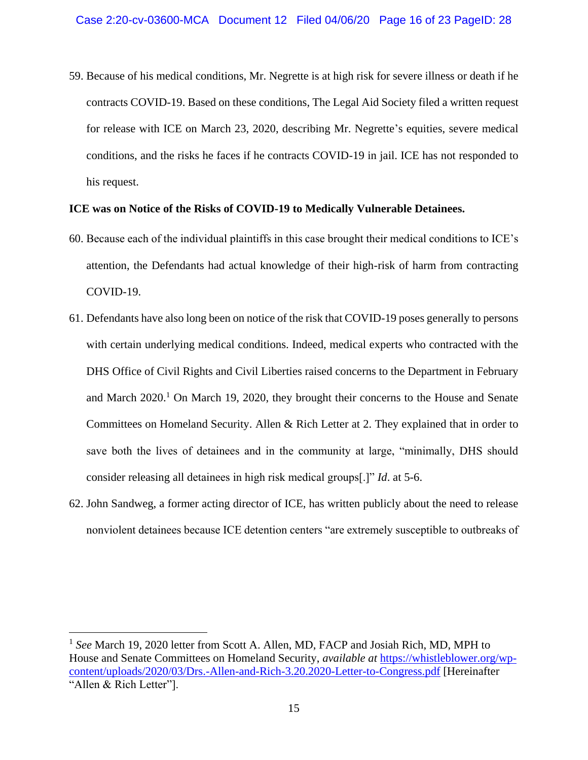59. Because of his medical conditions, Mr. Negrette is at high risk for severe illness or death if he contracts COVID-19. Based on these conditions, The Legal Aid Society filed a written request for release with ICE on March 23, 2020, describing Mr. Negrette's equities, severe medical conditions, and the risks he faces if he contracts COVID-19 in jail. ICE has not responded to his request.

#### **ICE was on Notice of the Risks of COVID-19 to Medically Vulnerable Detainees.**

- 60. Because each of the individual plaintiffs in this case brought their medical conditions to ICE's attention, the Defendants had actual knowledge of their high-risk of harm from contracting COVID-19.
- 61. Defendants have also long been on notice of the risk that COVID-19 poses generally to persons with certain underlying medical conditions. Indeed, medical experts who contracted with the DHS Office of Civil Rights and Civil Liberties raised concerns to the Department in February and March  $2020<sup>1</sup>$  On March 19, 2020, they brought their concerns to the House and Senate Committees on Homeland Security. Allen & Rich Letter at 2. They explained that in order to save both the lives of detainees and in the community at large, "minimally, DHS should consider releasing all detainees in high risk medical groups[.]" *Id*. at 5-6.
- 62. John Sandweg, a former acting director of ICE, has written publicly about the need to release nonviolent detainees because ICE detention centers "are extremely susceptible to outbreaks of

 $\overline{a}$ 

<sup>1</sup> *See* March 19, 2020 letter from Scott A. Allen, MD, FACP and Josiah Rich, MD, MPH to House and Senate Committees on Homeland Security, *available at* [https://whistleblower.org/wp](https://whistleblower.org/wp-content/uploads/2020/03/Drs.-Allen-and-Rich-3.20.2020-Letter-to-Congress.pdf)[content/uploads/2020/03/Drs.-Allen-and-Rich-3.20.2020-Letter-to-Congress.pdf](https://whistleblower.org/wp-content/uploads/2020/03/Drs.-Allen-and-Rich-3.20.2020-Letter-to-Congress.pdf) [Hereinafter "Allen & Rich Letter"].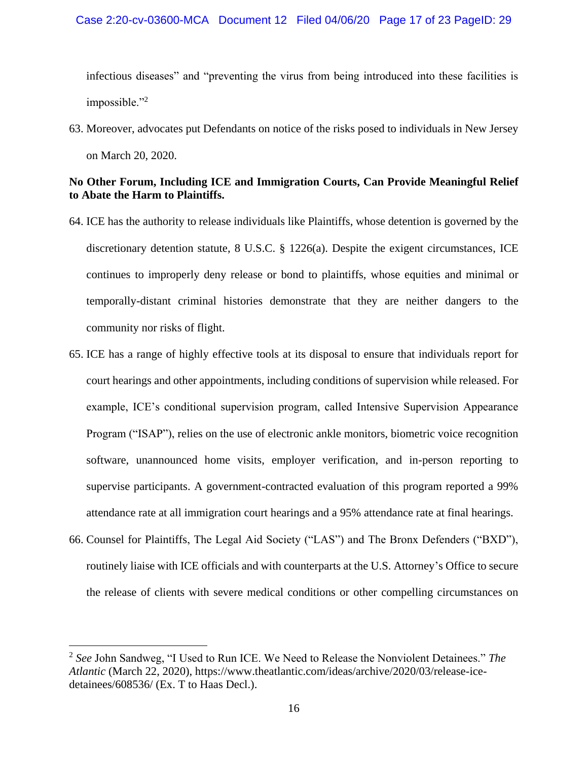infectious diseases" and "preventing the virus from being introduced into these facilities is impossible."<sup>2</sup>

63. Moreover, advocates put Defendants on notice of the risks posed to individuals in New Jersey on March 20, 2020.

## **No Other Forum, Including ICE and Immigration Courts, Can Provide Meaningful Relief to Abate the Harm to Plaintiffs.**

- 64. ICE has the authority to release individuals like Plaintiffs, whose detention is governed by the discretionary detention statute, 8 U.S.C. § 1226(a). Despite the exigent circumstances, ICE continues to improperly deny release or bond to plaintiffs, whose equities and minimal or temporally-distant criminal histories demonstrate that they are neither dangers to the community nor risks of flight.
- 65. ICE has a range of highly effective tools at its disposal to ensure that individuals report for court hearings and other appointments, including conditions of supervision while released. For example, ICE's conditional supervision program, called Intensive Supervision Appearance Program ("ISAP"), relies on the use of electronic ankle monitors, biometric voice recognition software, unannounced home visits, employer verification, and in-person reporting to supervise participants. A government-contracted evaluation of this program reported a 99% attendance rate at all immigration court hearings and a 95% attendance rate at final hearings.
- 66. Counsel for Plaintiffs, The Legal Aid Society ("LAS") and The Bronx Defenders ("BXD"), routinely liaise with ICE officials and with counterparts at the U.S. Attorney's Office to secure the release of clients with severe medical conditions or other compelling circumstances on

 $\overline{a}$ 

<sup>2</sup> *See* John Sandweg, "I Used to Run ICE. We Need to Release the Nonviolent Detainees." *The Atlantic* (March 22, 2020), https://www.theatlantic.com/ideas/archive/2020/03/release-icedetainees/608536/ (Ex. T to Haas Decl.).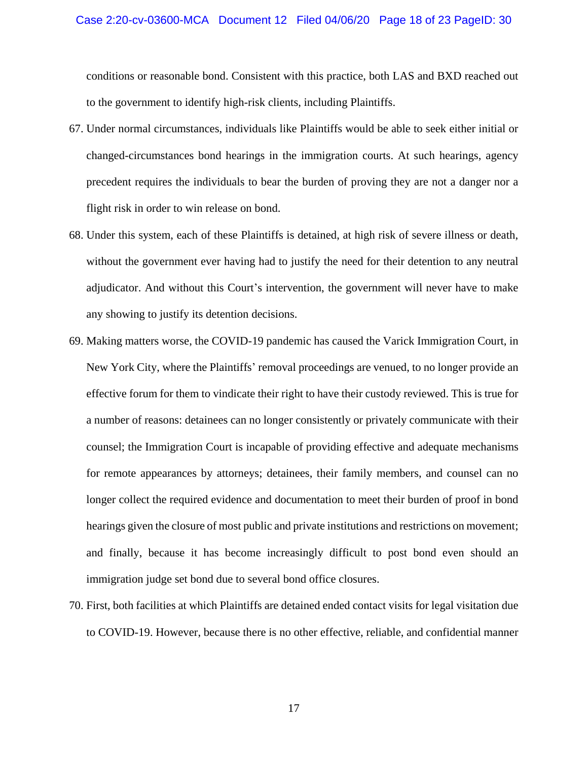conditions or reasonable bond. Consistent with this practice, both LAS and BXD reached out to the government to identify high-risk clients, including Plaintiffs.

- 67. Under normal circumstances, individuals like Plaintiffs would be able to seek either initial or changed-circumstances bond hearings in the immigration courts. At such hearings, agency precedent requires the individuals to bear the burden of proving they are not a danger nor a flight risk in order to win release on bond.
- 68. Under this system, each of these Plaintiffs is detained, at high risk of severe illness or death, without the government ever having had to justify the need for their detention to any neutral adjudicator. And without this Court's intervention, the government will never have to make any showing to justify its detention decisions.
- 69. Making matters worse, the COVID-19 pandemic has caused the Varick Immigration Court, in New York City, where the Plaintiffs' removal proceedings are venued, to no longer provide an effective forum for them to vindicate their right to have their custody reviewed. This is true for a number of reasons: detainees can no longer consistently or privately communicate with their counsel; the Immigration Court is incapable of providing effective and adequate mechanisms for remote appearances by attorneys; detainees, their family members, and counsel can no longer collect the required evidence and documentation to meet their burden of proof in bond hearings given the closure of most public and private institutions and restrictions on movement; and finally, because it has become increasingly difficult to post bond even should an immigration judge set bond due to several bond office closures.
- 70. First, both facilities at which Plaintiffs are detained ended contact visits for legal visitation due to COVID-19. However, because there is no other effective, reliable, and confidential manner

17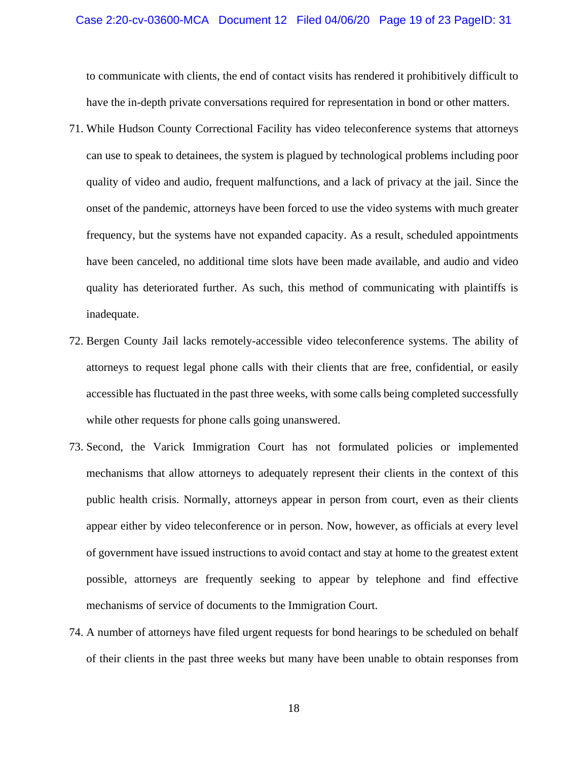#### Case 2:20-cv-03600-MCA Document 12 Filed 04/06/20 Page 19 of 23 PageID: 31

to communicate with clients, the end of contact visits has rendered it prohibitively difficult to have the in-depth private conversations required for representation in bond or other matters.

- 71. While Hudson County Correctional Facility has video teleconference systems that attorneys can use to speak to detainees, the system is plagued by technological problems including poor quality of video and audio, frequent malfunctions, and a lack of privacy at the jail. Since the onset of the pandemic, attorneys have been forced to use the video systems with much greater frequency, but the systems have not expanded capacity. As a result, scheduled appointments have been canceled, no additional time slots have been made available, and audio and video quality has deteriorated further. As such, this method of communicating with plaintiffs is inadequate.
- 72. Bergen County Jail lacks remotely-accessible video teleconference systems. The ability of attorneys to request legal phone calls with their clients that are free, confidential, or easily accessible has fluctuated in the past three weeks, with some calls being completed successfully while other requests for phone calls going unanswered.
- 73. Second, the Varick Immigration Court has not formulated policies or implemented mechanisms that allow attorneys to adequately represent their clients in the context of this public health crisis. Normally, attorneys appear in person from court, even as their clients appear either by video teleconference or in person. Now, however, as officials at every level of government have issued instructions to avoid contact and stay at home to the greatest extent possible, attorneys are frequently seeking to appear by telephone and find effective mechanisms of service of documents to the Immigration Court.
- 74. A number of attorneys have filed urgent requests for bond hearings to be scheduled on behalf of their clients in the past three weeks but many have been unable to obtain responses from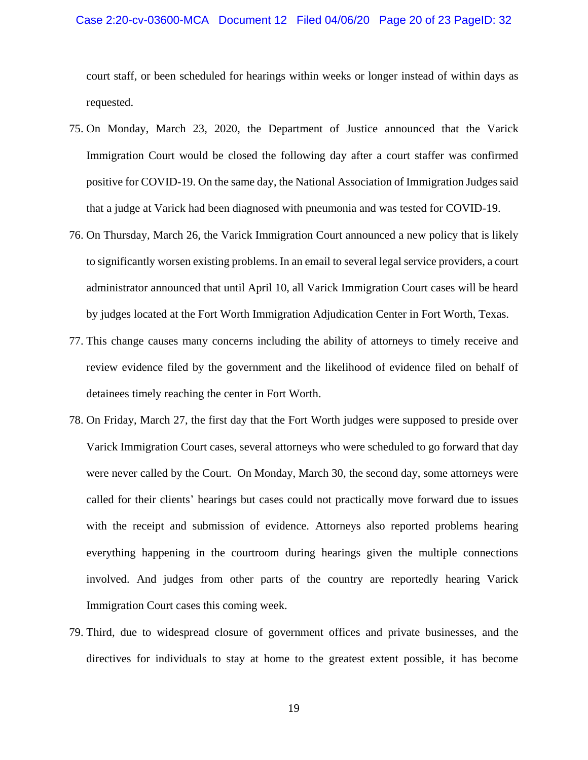#### Case 2:20-cv-03600-MCA Document 12 Filed 04/06/20 Page 20 of 23 PageID: 32

court staff, or been scheduled for hearings within weeks or longer instead of within days as requested.

- 75. On Monday, March 23, 2020, the Department of Justice announced that the Varick Immigration Court would be closed the following day after a court staffer was confirmed positive for COVID-19. On the same day, the National Association of Immigration Judges said that a judge at Varick had been diagnosed with pneumonia and was tested for COVID-19.
- 76. On Thursday, March 26, the Varick Immigration Court announced a new policy that is likely to significantly worsen existing problems. In an email to several legal service providers, a court administrator announced that until April 10, all Varick Immigration Court cases will be heard by judges located at the Fort Worth Immigration Adjudication Center in Fort Worth, Texas.
- 77. This change causes many concerns including the ability of attorneys to timely receive and review evidence filed by the government and the likelihood of evidence filed on behalf of detainees timely reaching the center in Fort Worth.
- 78. On Friday, March 27, the first day that the Fort Worth judges were supposed to preside over Varick Immigration Court cases, several attorneys who were scheduled to go forward that day were never called by the Court. On Monday, March 30, the second day, some attorneys were called for their clients' hearings but cases could not practically move forward due to issues with the receipt and submission of evidence. Attorneys also reported problems hearing everything happening in the courtroom during hearings given the multiple connections involved. And judges from other parts of the country are reportedly hearing Varick Immigration Court cases this coming week.
- 79. Third, due to widespread closure of government offices and private businesses, and the directives for individuals to stay at home to the greatest extent possible, it has become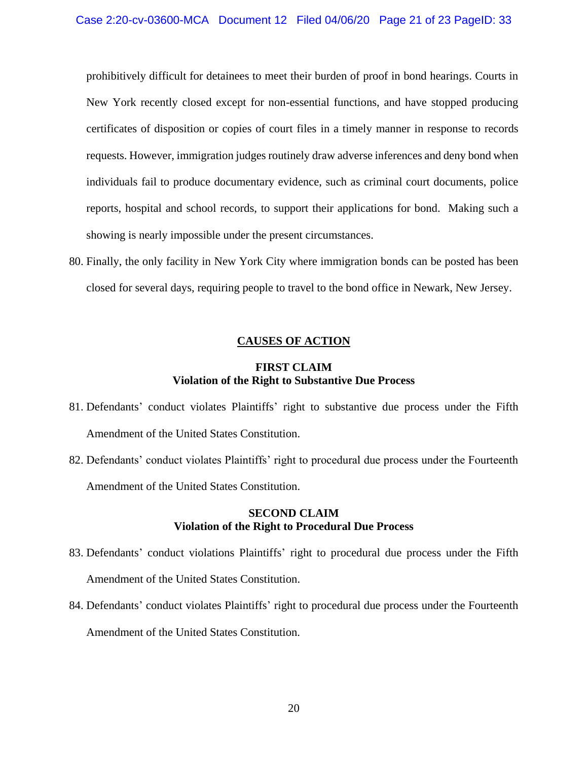prohibitively difficult for detainees to meet their burden of proof in bond hearings. Courts in New York recently closed except for non-essential functions, and have stopped producing certificates of disposition or copies of court files in a timely manner in response to records requests. However, immigration judges routinely draw adverse inferences and deny bond when individuals fail to produce documentary evidence, such as criminal court documents, police reports, hospital and school records, to support their applications for bond. Making such a showing is nearly impossible under the present circumstances.

80. Finally, the only facility in New York City where immigration bonds can be posted has been closed for several days, requiring people to travel to the bond office in Newark, New Jersey.

### **CAUSES OF ACTION**

### **FIRST CLAIM Violation of the Right to Substantive Due Process**

- 81. Defendants' conduct violates Plaintiffs' right to substantive due process under the Fifth Amendment of the United States Constitution.
- 82. Defendants' conduct violates Plaintiffs' right to procedural due process under the Fourteenth Amendment of the United States Constitution.

## **SECOND CLAIM Violation of the Right to Procedural Due Process**

- 83. Defendants' conduct violations Plaintiffs' right to procedural due process under the Fifth Amendment of the United States Constitution.
- 84. Defendants' conduct violates Plaintiffs' right to procedural due process under the Fourteenth Amendment of the United States Constitution.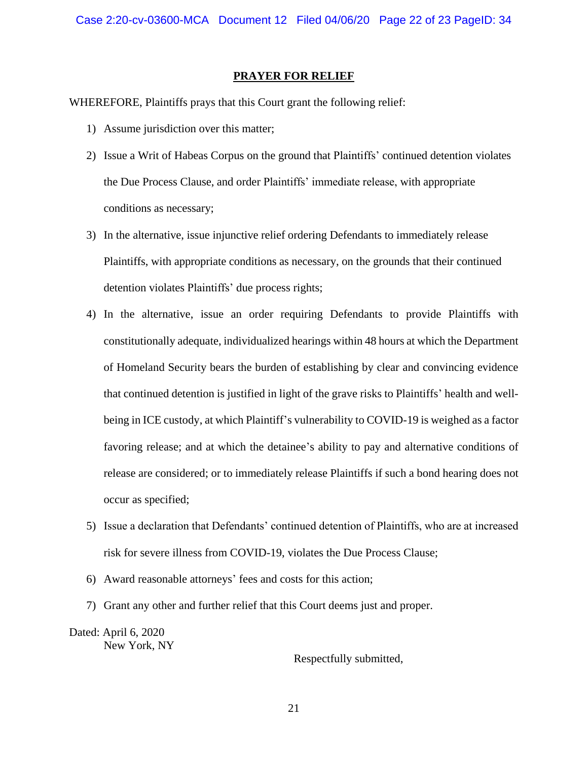#### **PRAYER FOR RELIEF**

WHEREFORE, Plaintiffs prays that this Court grant the following relief:

- 1) Assume jurisdiction over this matter;
- 2) Issue a Writ of Habeas Corpus on the ground that Plaintiffs' continued detention violates the Due Process Clause, and order Plaintiffs' immediate release, with appropriate conditions as necessary;
- 3) In the alternative, issue injunctive relief ordering Defendants to immediately release Plaintiffs, with appropriate conditions as necessary, on the grounds that their continued detention violates Plaintiffs' due process rights;
- 4) In the alternative, issue an order requiring Defendants to provide Plaintiffs with constitutionally adequate, individualized hearings within 48 hours at which the Department of Homeland Security bears the burden of establishing by clear and convincing evidence that continued detention is justified in light of the grave risks to Plaintiffs' health and wellbeing in ICE custody, at which Plaintiff's vulnerability to COVID-19 is weighed as a factor favoring release; and at which the detainee's ability to pay and alternative conditions of release are considered; or to immediately release Plaintiffs if such a bond hearing does not occur as specified;
- 5) Issue a declaration that Defendants' continued detention of Plaintiffs, who are at increased risk for severe illness from COVID-19, violates the Due Process Clause;
- 6) Award reasonable attorneys' fees and costs for this action;
- 7) Grant any other and further relief that this Court deems just and proper.

Dated: April 6, 2020 New York, NY

Respectfully submitted,

21